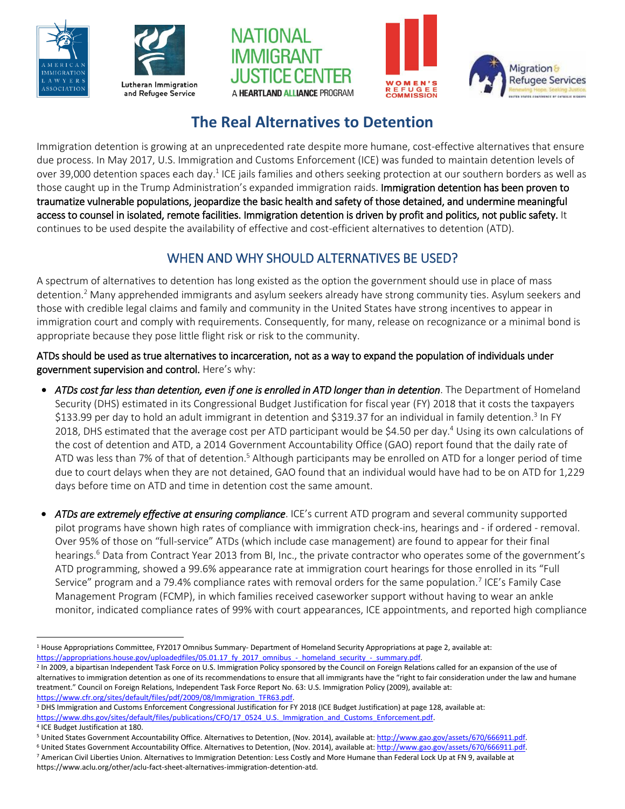









# **The Real Alternatives to Detention**

Immigration detention is growing at an unprecedented rate despite more humane, cost-effective alternatives that ensure due process. In May 2017, U.S. Immigration and Customs Enforcement (ICE) was funded to maintain detention levels of over 39,000 detention spaces each day.<sup>1</sup> ICE jails families and others seeking protection at our southern borders as well as those caught up in the Trump Administration's expanded immigration raids. Immigration detention has been proven to traumatize vulnerable populations, jeopardize the basic health and safety of those detained, and undermine meaningful access to counsel in isolated, remote facilities. Immigration detention is driven by profit and politics, not public safety. It continues to be used despite the availability of effective and cost-efficient alternatives to detention (ATD).

## WHEN AND WHY SHOULD ALTERNATIVES BE USED?

A spectrum of alternatives to detention has long existed as the option the government should use in place of mass detention.<sup>2</sup> Many apprehended immigrants and asylum seekers already have strong community ties. Asylum seekers and those with credible legal claims and family and community in the United States have strong incentives to appear in immigration court and comply with requirements. Consequently, for many, release on recognizance or a minimal bond is appropriate because they pose little flight risk or risk to the community.

ATDs should be used as true alternatives to incarceration, not as a way to expand the population of individuals under government supervision and control. Here's why:

- *ATDs cost far less than detention, even if one is enrolled in ATD longer than in detention*. The Department of Homeland Security (DHS) estimated in its Congressional Budget Justification for fiscal year (FY) 2018 that it costs the taxpayers \$133.99 per day to hold an adult immigrant in detention and \$319.37 for an individual in family detention.<sup>3</sup> In FY 2018, DHS estimated that the average cost per ATD participant would be \$4.50 per day.<sup>4</sup> Using its own calculations of the cost of detention and ATD, a 2014 Government Accountability Office (GAO) report found that the daily rate of ATD was less than 7% of that of detention.<sup>5</sup> Although participants may be enrolled on ATD for a longer period of time due to court delays when they are not detained, GAO found that an individual would have had to be on ATD for 1,229 days before time on ATD and time in detention cost the same amount.
- *ATDs are extremely effective at ensuring compliance*. ICE's current ATD program and several community supported pilot programs have shown high rates of compliance with immigration check-ins, hearings and - if ordered - removal. Over 95% of those on "full-service" ATDs (which include case management) are found to appear for their final hearings.<sup>6</sup> Data from Contract Year 2013 from BI, Inc., the private contractor who operates some of the government's ATD programming, showed a 99.6% appearance rate at immigration court hearings for those enrolled in its "Full Service" program and a 79.4% compliance rates with removal orders for the same population.<sup>7</sup> ICE's Family Case Management Program (FCMP), in which families received caseworker support without having to wear an ankle monitor, indicated compliance rates of 99% with court appearances, ICE appointments, and reported high compliance

<sup>3</sup> DHS Immigration and Customs Enforcement Congressional Justification for FY 2018 (ICE Budget Justification) at page 128, available at: https://www.dhs.gov/sites/default/files/publications/CFO/17\_0524\_U.S.\_Immigration\_and\_Customs\_Enforcement.pdf.

 $\overline{a}$  $1$  House Appropriations Committee, FY2017 Omnibus Summary- Department of Homeland Security Appropriations at page 2, available at: [https://appropriations.house.gov/uploadedfiles/05.01.17\\_fy\\_2017\\_omnibus\\_-\\_homeland\\_security\\_-\\_summary.pdf.](https://appropriations.house.gov/uploadedfiles/05.01.17_fy_2017_omnibus_-_homeland_security_-_summary.pdf)

<sup>&</sup>lt;sup>2</sup> In 2009, a bipartisan Independent Task Force on U.S. Immigration Policy sponsored by the Council on Foreign Relations called for an expansion of the use of alternatives to immigration detention as one of its recommendations to ensure that all immigrants have the "right to fair consideration under the law and humane treatment." Council on Foreign Relations, Independent Task Force Report No. 63: U.S. Immigration Policy (2009), available at: https://www.cfr.org/sites/default/files/pdf/2009/08/Immigration\_TFR63.pdf.

<sup>4</sup> ICE Budget Justification at 180.

<sup>&</sup>lt;sup>5</sup> United States Government Accountability Office. Alternatives to Detention, (Nov. 2014), available at[: http://www.gao.gov/assets/670/666911.pdf.](http://www.gao.gov/assets/670/666911.pdf)

<sup>&</sup>lt;sup>6</sup> United States Government Accountability Office. Alternatives to Detention, (Nov. 2014), available at[: http://www.gao.gov/assets/670/666911.pdf.](http://www.gao.gov/assets/670/666911.pdf)

<sup>7</sup> American Civil Liberties Union. Alternatives to Immigration Detention: Less Costly and More Humane than Federal Lock Up at FN 9, available at https://www.aclu.org/other/aclu-fact-sheet-alternatives-immigration-detention-atd.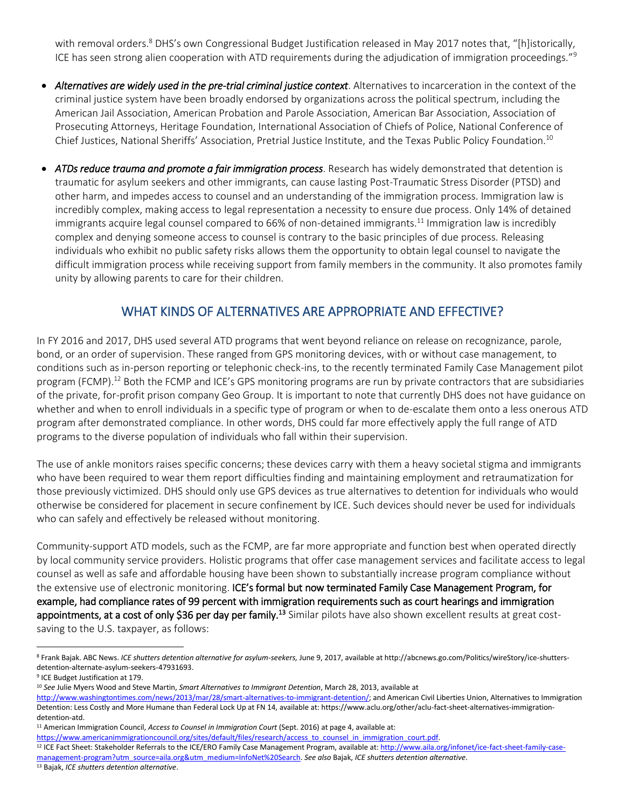with removal orders.<sup>8</sup> DHS's own Congressional Budget Justification released in May 2017 notes that, "[h]istorically, ICE has seen strong alien cooperation with ATD requirements during the adjudication of immigration proceedings."<sup>9</sup>

- *Alternatives are widely used in the pre-trial criminal justice context*. Alternatives to incarceration in the context of the criminal justice system have been broadly endorsed by organizations across the political spectrum, including the American Jail Association, American Probation and Parole Association, American Bar Association, Association of Prosecuting Attorneys, Heritage Foundation, International Association of Chiefs of Police, National Conference of Chief Justices, National Sheriffs' Association, Pretrial Justice Institute, and the Texas Public Policy Foundation.<sup>10</sup>
- *ATDs reduce trauma and promote a fair immigration process*. Research has widely demonstrated that detention is traumatic for asylum seekers and other immigrants, can cause lasting Post-Traumatic Stress Disorder (PTSD) and other harm, and impedes access to counsel and an understanding of the immigration process. Immigration law is incredibly complex, making access to legal representation a necessity to ensure due process. Only 14% of detained immigrants acquire legal counsel compared to 66% of non-detained immigrants.<sup>11</sup> Immigration law is incredibly complex and denying someone access to counsel is contrary to the basic principles of due process. Releasing individuals who exhibit no public safety risks allows them the opportunity to obtain legal counsel to navigate the difficult immigration process while receiving support from family members in the community. It also promotes family unity by allowing parents to care for their children.

#### WHAT KINDS OF ALTERNATIVES ARE APPROPRIATE AND EFFECTIVE?

In FY 2016 and 2017, DHS used several ATD programs that went beyond reliance on release on recognizance, parole, bond, or an order of supervision. These ranged from GPS monitoring devices, with or without case management, to conditions such as in-person reporting or telephonic check-ins, to the recently terminated Family Case Management pilot program (FCMP).<sup>12</sup> Both the FCMP and ICE's GPS monitoring programs are run by private contractors that are subsidiaries of the private, for-profit prison company Geo Group. It is important to note that currently DHS does not have guidance on whether and when to enroll individuals in a specific type of program or when to de-escalate them onto a less onerous ATD program after demonstrated compliance. In other words, DHS could far more effectively apply the full range of ATD programs to the diverse population of individuals who fall within their supervision.

The use of ankle monitors raises specific concerns; these devices carry with them a heavy societal stigma and immigrants who have been required to wear them report difficulties finding and maintaining employment and retraumatization for those previously victimized. DHS should only use GPS devices as true alternatives to detention for individuals who would otherwise be considered for placement in secure confinement by ICE. Such devices should never be used for individuals who can safely and effectively be released without monitoring.

Community-support ATD models, such as the FCMP, are far more appropriate and function best when operated directly by local community service providers. Holistic programs that offer case management services and facilitate access to legal counsel as well as safe and affordable housing have been shown to substantially increase program compliance without the extensive use of electronic monitoring. ICE's formal but now terminated Family Case Management Program, for example, had compliance rates of 99 percent with immigration requirements such as court hearings and immigration appointments, at a cost of only \$36 per day per family.<sup>13</sup> Similar pilots have also shown excellent results at great costsaving to the U.S. taxpayer, as follows:

 $\overline{\phantom{a}}$ 

<sup>11</sup> American Immigration Council, *Access to Counsel in Immigration Court* (Sept. 2016) at page 4, available at:

<sup>12</sup> ICE Fact Sheet: Stakeholder Referrals to the ICE/ERO Family Case Management Program, available at[: http://www.aila.org/infonet/ice-fact-sheet-family-case-](http://www.aila.org/infonet/ice-fact-sheet-family-case-management-program?utm_source=aila.org&utm_medium=InfoNet%20Search)

<sup>8</sup> Frank Bajak. ABC News. *ICE shutters detention alternative for asylum-seekers,* June 9, 2017, available at http://abcnews.go.com/Politics/wireStory/ice-shuttersdetention-alternate-asylum-seekers-47931693.

<sup>9</sup> ICE Budget Justification at 179.

<sup>10</sup> *See* Julie Myers Wood and Steve Martin, *Smart Alternatives to Immigrant Detention*, March 28, 2013, available at

[http://www.washingtontimes.com/news/2013/mar/28/smart-alternatives-to-immigrant-detention/;](http://www.washingtontimes.com/news/2013/mar/28/smart-alternatives-to-immigrant-detention/) and American Civil Liberties Union, Alternatives to Immigration Detention: Less Costly and More Humane than Federal Lock Up at FN 14, available at: https://www.aclu.org/other/aclu-fact-sheet-alternatives-immigrationdetention-atd.

[https://www.americanimmigrationcouncil.org/sites/default/files/research/access\\_to\\_counsel\\_in\\_immigration\\_court.pdf.](https://www.americanimmigrationcouncil.org/sites/default/files/research/access_to_counsel_in_immigration_court.pdf)

[management-program?utm\\_source=aila.org&utm\\_medium=InfoNet%20Search.](http://www.aila.org/infonet/ice-fact-sheet-family-case-management-program?utm_source=aila.org&utm_medium=InfoNet%20Search) *See also* Bajak, *ICE shutters detention alternative*.

<sup>13</sup> Bajak, *ICE shutters detention alternative*.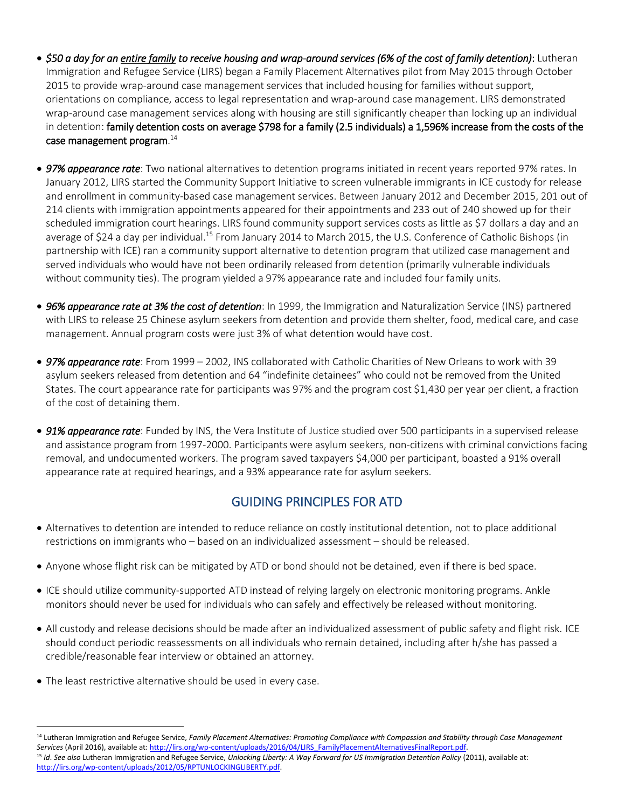- *\$50 a day for an entire family to receive housing and wrap-around services (6% of the cost of family detention)*: Lutheran Immigration and Refugee Service (LIRS) began a Family Placement Alternatives pilot from May 2015 through October 2015 to provide wrap-around case management services that included housing for families without support, orientations on compliance, access to legal representation and wrap-around case management. LIRS demonstrated wrap-around case management services along with housing are still significantly cheaper than locking up an individual in detention: family detention costs on average \$798 for a family (2.5 individuals) a 1,596% increase from the costs of the case management program. $^{\rm 14}$
- *97% appearance rate*: Two national alternatives to detention programs initiated in recent years reported 97% rates. In January 2012, LIRS started the Community Support Initiative to screen vulnerable immigrants in ICE custody for release and enrollment in community-based case management services. Between January 2012 and December 2015, 201 out of 214 clients with immigration appointments appeared for their appointments and 233 out of 240 showed up for their scheduled immigration court hearings. LIRS found community support services costs as little as \$7 dollars a day and an average of \$24 a day per individual.<sup>15</sup> From January 2014 to March 2015, the U.S. Conference of Catholic Bishops (in partnership with ICE) ran a community support alternative to detention program that utilized case management and served individuals who would have not been ordinarily released from detention (primarily vulnerable individuals without community ties). The program yielded a 97% appearance rate and included four family units.
- *96% appearance rate at 3% the cost of detention*: In 1999, the Immigration and Naturalization Service (INS) partnered with LIRS to release 25 Chinese asylum seekers from detention and provide them shelter, food, medical care, and case management. Annual program costs were just 3% of what detention would have cost.
- *97% appearance rate*: From 1999 2002, INS collaborated with Catholic Charities of New Orleans to work with 39 asylum seekers released from detention and 64 "indefinite detainees" who could not be removed from the United States. The court appearance rate for participants was 97% and the program cost \$1,430 per year per client, a fraction of the cost of detaining them.
- *91% appearance rate*: Funded by INS, the Vera Institute of Justice studied over 500 participants in a supervised release and assistance program from 1997-2000. Participants were asylum seekers, non-citizens with criminal convictions facing removal, and undocumented workers. The program saved taxpayers \$4,000 per participant, boasted a 91% overall appearance rate at required hearings, and a 93% appearance rate for asylum seekers.

## GUIDING PRINCIPLES FOR ATD

- Alternatives to detention are intended to reduce reliance on costly institutional detention, not to place additional restrictions on immigrants who – based on an individualized assessment – should be released.
- Anyone whose flight risk can be mitigated by ATD or bond should not be detained, even if there is bed space.
- ICE should utilize community-supported ATD instead of relying largely on electronic monitoring programs. Ankle monitors should never be used for individuals who can safely and effectively be released without monitoring.
- All custody and release decisions should be made after an individualized assessment of public safety and flight risk. ICE should conduct periodic reassessments on all individuals who remain detained, including after h/she has passed a credible/reasonable fear interview or obtained an attorney.
- The least restrictive alternative should be used in every case.

l

<sup>&</sup>lt;sup>14</sup> Lutheran Immigration and Refugee Service, Family Placement Alternatives: Promoting Compliance with Compassion and Stability through Case Management *Services* (April 2016), available at[: http://lirs.org/wp-content/uploads/2016/04/LIRS\\_FamilyPlacementAlternativesFinalReport.pdf.](http://lirs.org/wp-content/uploads/2016/04/LIRS_FamilyPlacementAlternativesFinalReport.pdf)  <sup>15</sup> *Id*. *See also* Lutheran Immigration and Refugee Service, *Unlocking Liberty: A Way Forward for US Immigration Detention Policy* (2011), available at: [http://lirs.org/wp-content/uploads/2012/05/RPTUNLOCKINGLIBERTY.pdf.](http://lirs.org/wp-content/uploads/2012/05/RPTUNLOCKINGLIBERTY.pdf)